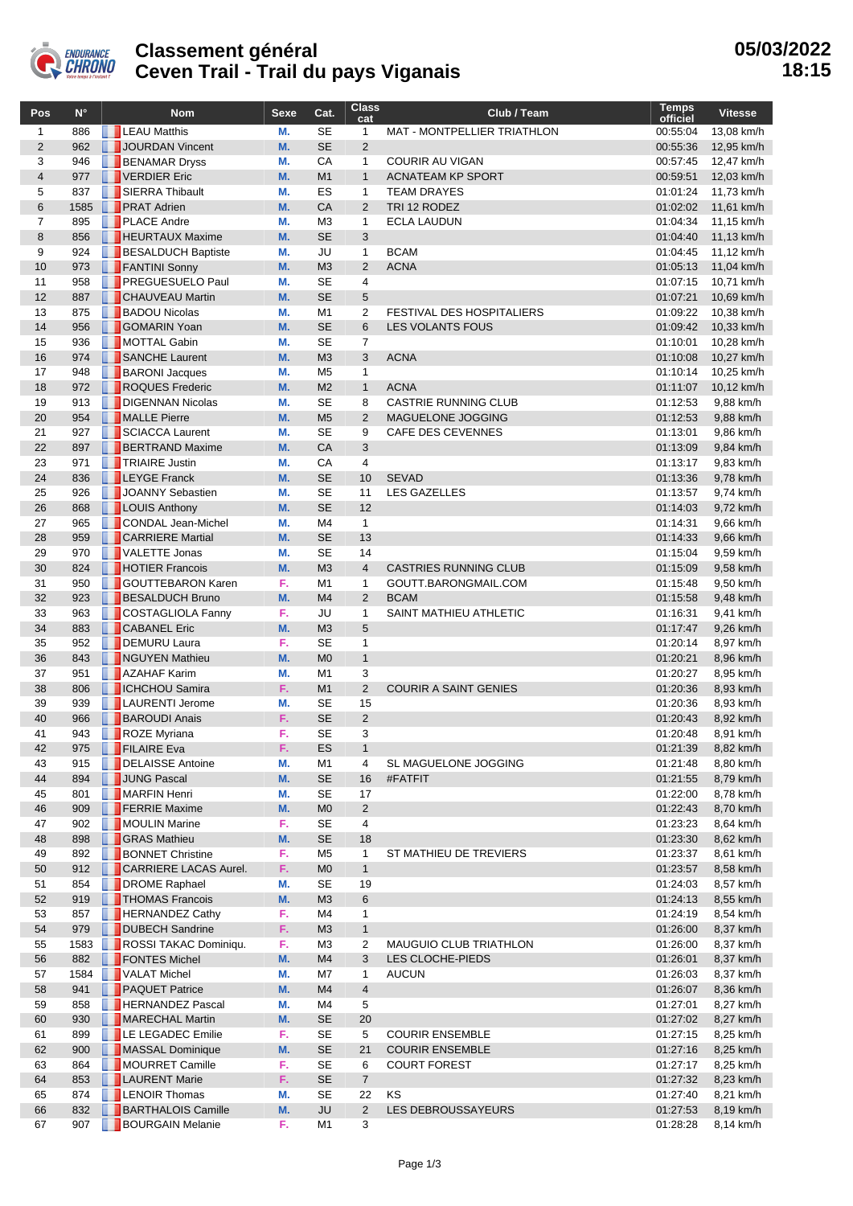

## **Classement général Ceven Trail - Trail du pays Viganais**

| Pos                 | $N^{\circ}$ | <b>Nom</b>                                       | <b>Sexe</b> | Cat.                             | <b>Class</b><br>cat  | Club / Team                        | <b>Temps</b><br>officiel | <b>Vitesse</b>           |
|---------------------|-------------|--------------------------------------------------|-------------|----------------------------------|----------------------|------------------------------------|--------------------------|--------------------------|
| $\mathbf{1}$        | 886         | <b>LEAU Matthis</b>                              | М.          | <b>SE</b>                        | 1                    | <b>MAT - MONTPELLIER TRIATHLON</b> | 00:55:04                 | 13.08 km/h               |
| $\overline{2}$      | 962         | JOURDAN Vincent                                  | M.          | <b>SE</b>                        | $\overline{2}$       |                                    | 00:55:36                 | 12,95 km/h               |
| 3                   | 946         | <b>BENAMAR Dryss</b>                             | М.          | CA                               | 1                    | <b>COURIR AU VIGAN</b>             | 00:57:45                 | 12,47 km/h               |
| $\overline{4}$      | 977         | VERDIER Eric                                     | M.          | M1                               | $\mathbf{1}$         | <b>ACNATEAM KP SPORT</b>           | 00:59:51                 | 12,03 km/h               |
| 5                   | 837         | <b>SIERRA Thibault</b>                           | М.          | ES                               | $\mathbf{1}$         | <b>TEAM DRAYES</b>                 | 01:01:24                 | 11,73 km/h               |
| $6\phantom{1}$      | 1585        | <b>PRAT Adrien</b>                               | M.          | CA                               | $\overline{2}$       | TRI 12 RODEZ                       | 01:02:02                 | 11,61 km/h               |
| $\overline{7}$<br>8 | 895<br>856  | <b>PLACE Andre</b><br><b>F</b> HEURTAUX Maxime   | М.<br>M.    | M <sub>3</sub><br><b>SE</b>      | $\mathbf{1}$<br>3    | <b>ECLA LAUDUN</b>                 | 01:04:34<br>01:04:40     | 11,15 km/h<br>11,13 km/h |
| 9                   | 924         | <b>BESALDUCH Baptiste</b>                        | М.          | JU                               | 1                    | <b>BCAM</b>                        | 01:04:45                 | 11,12 km/h               |
| 10                  | 973         | FANTINI Sonny                                    | M.          | M <sub>3</sub>                   | $\overline{2}$       | <b>ACNA</b>                        | 01:05:13                 | 11,04 km/h               |
| 11                  | 958         | <b>PREGUESUELO Paul</b>                          | М.          | <b>SE</b>                        | 4                    |                                    | 01:07:15                 | 10,71 km/h               |
| 12                  | 887         | <b>CHAUVEAU Martin</b>                           | M.          | <b>SE</b>                        | 5                    |                                    | 01:07:21                 | 10,69 km/h               |
| 13                  | 875         | <b>BADOU Nicolas</b>                             | М.          | M1                               | 2                    | <b>FESTIVAL DES HOSPITALIERS</b>   | 01:09:22                 | 10,38 km/h               |
| 14                  | 956         | <b>GOMARIN Yoan</b>                              | M.          | <b>SE</b>                        | 6                    | <b>LES VOLANTS FOUS</b>            | 01:09:42                 | 10,33 km/h               |
| 15                  | 936         | MOTTAL Gabin                                     | М.          | <b>SE</b>                        | $\overline{7}$       |                                    | 01:10:01                 | 10,28 km/h               |
| 16                  | 974         | SANCHE Laurent                                   | M.          | M <sub>3</sub>                   | 3                    | <b>ACNA</b>                        | 01:10:08                 | 10,27 km/h               |
| 17                  | 948         | <b>BARONI</b> Jacques                            | М.          | M <sub>5</sub>                   | 1                    |                                    | 01:10:14                 | 10,25 km/h               |
| 18                  | 972         | ROQUES Frederic                                  | M.          | M <sub>2</sub>                   | $\mathbf{1}$         | <b>ACNA</b>                        | 01:11:07                 | 10,12 km/h               |
| 19                  | 913         | DIGENNAN Nicolas                                 | М.          | <b>SE</b>                        | 8                    | <b>CASTRIE RUNNING CLUB</b>        | 01:12:53                 | 9,88 km/h                |
| 20                  | 954         | MALLE Pierre                                     | M.          | M <sub>5</sub>                   | $\overline{2}$       | MAGUELONE JOGGING                  | 01:12:53                 | 9,88 km/h                |
| 21                  | 927         | <b>SCIACCA Laurent</b>                           | М.          | <b>SE</b>                        | 9                    | <b>CAFE DES CEVENNES</b>           | 01:13:01                 | 9,86 km/h                |
| 22                  | 897         | <b>BERTRAND Maxime</b>                           | M.          | CA                               | 3                    |                                    | 01:13:09                 | 9,84 km/h                |
| 23<br>24            | 971<br>836  | <b>TRIAIRE Justin</b><br><b>LEYGE Franck</b>     | М.<br>M.    | CA<br><b>SE</b>                  | 4<br>10              | <b>SEVAD</b>                       | 01:13:17<br>01:13:36     | 9,83 km/h<br>9,78 km/h   |
| 25                  | 926         | JOANNY Sebastien                                 | М.          | <b>SE</b>                        | 11                   | <b>LES GAZELLES</b>                | 01:13:57                 | 9,74 km/h                |
| 26                  | 868         | <b>LOUIS Anthony</b>                             | M.          | <b>SE</b>                        | 12                   |                                    | 01:14:03                 | 9,72 km/h                |
| 27                  | 965         | CONDAL Jean-Michel                               | М.          | M4                               | $\mathbf{1}$         |                                    | 01:14:31                 | 9,66 km/h                |
| 28                  | 959         | <b>CARRIERE Martial</b>                          | M.          | <b>SE</b>                        | 13                   |                                    | 01:14:33                 | 9,66 km/h                |
| 29                  | 970         | <b>N</b> VALETTE Jonas                           | М.          | <b>SE</b>                        | 14                   |                                    | 01:15:04                 | 9,59 km/h                |
| 30                  | 824         | <b>THOTIER Francois</b>                          | M.          | M <sub>3</sub>                   | $\overline{4}$       | <b>CASTRIES RUNNING CLUB</b>       | 01:15:09                 | 9,58 km/h                |
| 31                  | 950         | <b>GOUTTEBARON Karen</b>                         | F.          | M1                               | 1                    | GOUTT.BARONGMAIL.COM               | 01:15:48                 | 9,50 km/h                |
| 32                  | 923         | <b>BESALDUCH Bruno</b>                           | M.          | M4                               | $\overline{2}$       | <b>BCAM</b>                        | 01:15:58                 | 9,48 km/h                |
| 33                  | 963         | <b>COSTAGLIOLA Fanny</b>                         | F.          | JU                               | 1                    | SAINT MATHIEU ATHLETIC             | 01:16:31                 | 9,41 km/h                |
| 34                  | 883         | <b>CABANEL Eric</b>                              | M.          | M <sub>3</sub>                   | 5                    |                                    | 01:17:47                 | 9,26 km/h                |
| 35                  | 952         | DEMURU Laura                                     | F.          | <b>SE</b>                        | 1                    |                                    | 01:20:14                 | 8,97 km/h                |
| 36                  | 843         | NGUYEN Mathieu                                   | M.          | M <sub>0</sub>                   | $\mathbf{1}$         |                                    | 01:20:21                 | 8,96 km/h                |
| 37                  | 951         | <b>AZAHAF Karim</b>                              | М.          | M <sub>1</sub>                   | 3                    |                                    | 01:20:27                 | 8,95 km/h                |
| 38<br>39            | 806         | <b>TICHCHOU Samira</b><br><b>LAURENTI Jerome</b> | F.<br>М.    | M1<br><b>SE</b>                  | $\overline{2}$<br>15 | <b>COURIR A SAINT GENIES</b>       | 01:20:36                 | 8,93 km/h                |
| 40                  | 939<br>966  | <b>BAROUDI Anais</b>                             | F.          | <b>SE</b>                        | $\overline{2}$       |                                    | 01:20:36<br>01:20:43     | 8,93 km/h<br>8,92 km/h   |
| 41                  | 943         | ROZE Myriana                                     | F.          | <b>SE</b>                        | 3                    |                                    | 01:20:48                 | 8,91 km/h                |
| 42                  | 975         | <b>FILAIRE</b> Eva                               | F,          | ES                               | 1                    |                                    | 01:21:39                 | 8,82 km/h                |
| 43                  | 915         | DELAISSE Antoine                                 | М.          | M1                               | 4                    | SL MAGUELONE JOGGING               | 01:21:48                 | 8,80 km/h                |
| 44                  | 894         | JUNG Pascal                                      | M.          | <b>SE</b>                        | 16                   | #FATFIT                            | 01:21:55                 | 8,79 km/h                |
| 45                  | 801         | MARFIN Henri                                     | М.          | SE                               | 17                   |                                    | 01:22:00                 | 8,78 km/h                |
| 46                  | 909         | <b>FERRIE Maxime</b>                             | M.          | M <sub>0</sub>                   | 2                    |                                    | 01:22:43                 | 8,70 km/h                |
| 47                  | 902         | MOULIN Marine                                    | F.          | <b>SE</b>                        | 4                    |                                    | 01:23:23                 | 8,64 km/h                |
| 48                  | 898         | <b>GRAS Mathieu</b>                              | M.          | <b>SE</b>                        | 18                   |                                    | 01:23:30                 | 8,62 km/h                |
| 49                  | 892         | <b>BONNET Christine</b>                          | F.          | M <sub>5</sub>                   | 1                    | ST MATHIEU DE TREVIERS             | 01:23:37                 | 8,61 km/h                |
| 50                  | 912         | <b>CARRIERE LACAS Aurel.</b>                     | F.          | M <sub>0</sub>                   | $\mathbf{1}$         |                                    | 01:23:57                 | 8,58 km/h                |
| 51                  | 854         | <b>DROME Raphael</b>                             | М.          | SE                               | 19                   |                                    | 01:24:03                 | 8,57 km/h                |
| 52                  | 919         | <b>THOMAS Francois</b>                           | M.          | M <sub>3</sub>                   | 6                    |                                    | 01:24:13                 | 8,55 km/h                |
| 53<br>54            | 857<br>979  | <b>FERNANDEZ Cathy</b><br>DUBECH Sandrine        | F.<br>F.    | M4                               | 1                    |                                    | 01:24:19                 | 8,54 km/h<br>8,37 km/h   |
| 55                  | 1583        | ROSSI TAKAC Dominiqu.                            | F.          | M <sub>3</sub><br>M <sub>3</sub> | $\mathbf{1}$<br>2    | <b>MAUGUIO CLUB TRIATHLON</b>      | 01:26:00<br>01:26:00     | 8,37 km/h                |
| 56                  | 882         | FONTES Michel                                    | M.          | M4                               | 3                    | LES CLOCHE-PIEDS                   | 01:26:01                 | 8,37 km/h                |
| 57                  | 1584        | <b>VALAT Michel</b>                              | М.          | M7                               | 1                    | <b>AUCUN</b>                       | 01:26:03                 | 8,37 km/h                |
| 58                  | 941         | <b>PAQUET Patrice</b>                            | M.          | M4                               | 4                    |                                    | 01:26:07                 | 8,36 km/h                |
| 59                  | 858         | <b>HERNANDEZ Pascal</b>                          | М.          | M4                               | 5                    |                                    | 01:27:01                 | 8,27 km/h                |
| 60                  | 930         | MARECHAL Martin                                  | M.          | <b>SE</b>                        | 20                   |                                    | 01:27:02                 | 8,27 km/h                |
| 61                  | 899         | LE LEGADEC Emilie                                | F.          | SE                               | 5                    | <b>COURIR ENSEMBLE</b>             | 01:27:15                 | 8,25 km/h                |
| 62                  | 900         | MASSAL Dominique                                 | M.          | <b>SE</b>                        | 21                   | <b>COURIR ENSEMBLE</b>             | 01:27:16                 | 8,25 km/h                |
| 63                  | 864         | MOURRET Camille                                  | F.          | <b>SE</b>                        | 6                    | <b>COURT FOREST</b>                | 01:27:17                 | 8,25 km/h                |
| 64                  | 853         | <b>LAURENT Marie</b>                             | F.          | <b>SE</b>                        | $\overline{7}$       |                                    | 01:27:32                 | 8,23 km/h                |
| 65                  | 874         | <b>EXPLEMOR Thomas</b>                           | М.          | SE                               | 22                   | ΚS                                 | 01:27:40                 | 8,21 km/h                |
| 66                  | 832         | <b>BARTHALOIS Camille</b>                        | M.          | <b>JU</b>                        | 2                    | LES DEBROUSSAYEURS                 | 01:27:53                 | 8,19 km/h                |
| 67                  | 907         | <b>BOURGAIN Melanie</b>                          | F.          | M1                               | 3                    |                                    | 01:28:28                 | 8,14 km/h                |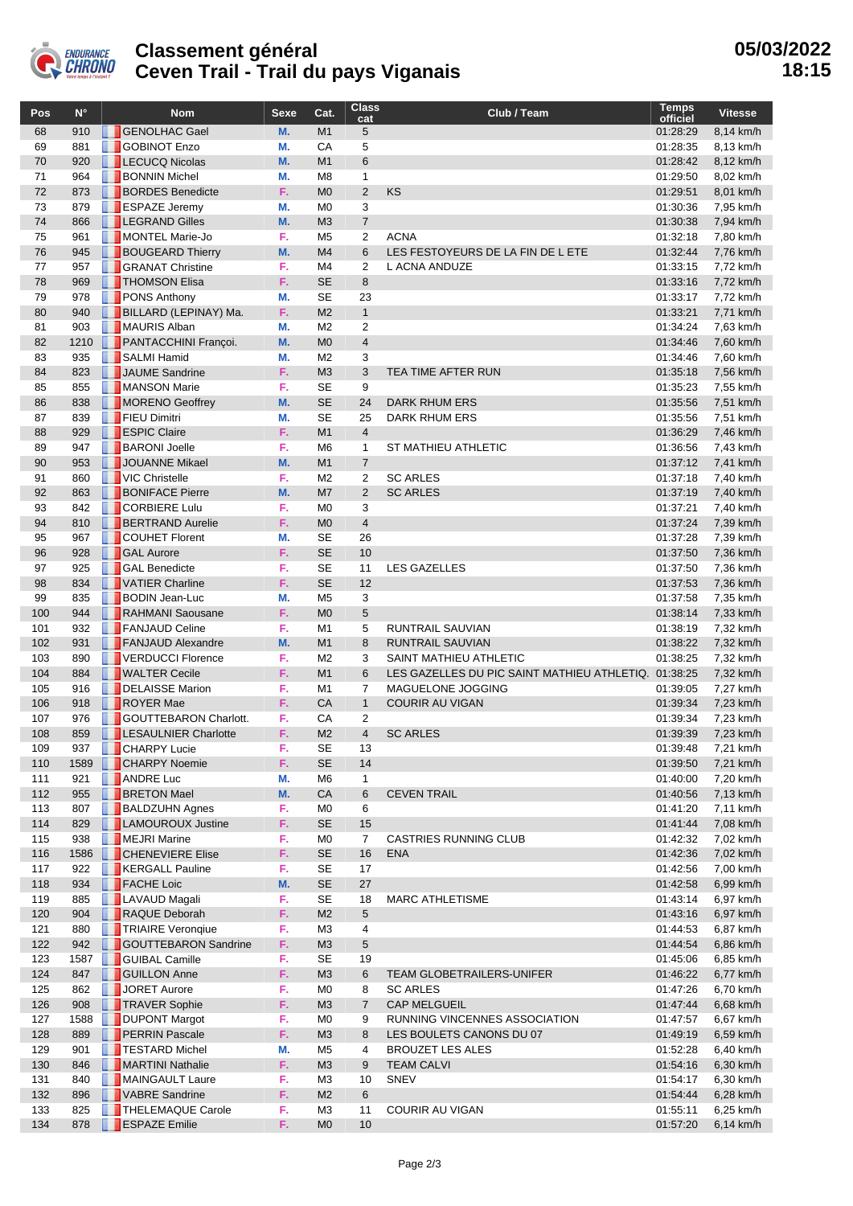

## **Classement général Ceven Trail - Trail du pays Viganais**

| Pos        | $N^{\circ}$ |   | <b>Nom</b>                                           | <b>Sexe</b> | Cat.                             | <b>Class</b><br>cat | Club / Team                                 | Temps<br>officiel    | <b>Vitesse</b>         |
|------------|-------------|---|------------------------------------------------------|-------------|----------------------------------|---------------------|---------------------------------------------|----------------------|------------------------|
| 68         | 910         |   | <b>GENOLHAC Gael</b>                                 | M.          | M1                               | 5                   |                                             | 01:28:29             | 8,14 km/h              |
| 69         | 881         | m | <b>GOBINOT Enzo</b>                                  | M.          | CA                               | 5                   |                                             | 01:28:35             | 8,13 km/h              |
| 70         | 920         |   | <b>LECUCQ Nicolas</b>                                | M.          | M1                               | $6\phantom{1}$      |                                             | 01:28:42             | 8,12 km/h              |
| 71         | 964         |   | <b>BONNIN Michel</b>                                 | М.          | M <sub>8</sub>                   | $\mathbf{1}$        |                                             | 01:29:50             | 8,02 km/h              |
| 72         | 873         |   | <b>BORDES</b> Benedicte                              | F.          | M <sub>0</sub>                   | $\overline{2}$      | <b>KS</b>                                   | 01:29:51             | 8,01 km/h              |
| 73         | 879         |   | <b>ESPAZE Jeremy</b>                                 | М.          | M <sub>0</sub>                   | 3                   |                                             | 01:30:36             | 7,95 km/h              |
| 74         | 866         |   | <b>LEGRAND Gilles</b>                                | M.          | M <sub>3</sub>                   | $\overline{7}$      |                                             | 01:30:38             | 7,94 km/h              |
| 75         | 961         |   | MONTEL Marie-Jo                                      | F.          | M <sub>5</sub>                   | 2                   | <b>ACNA</b>                                 | 01:32:18             | 7,80 km/h              |
| 76         | 945         |   | <b>BOUGEARD Thierry</b>                              | M.          | M <sub>4</sub>                   | 6                   | LES FESTOYEURS DE LA FIN DE L ETE           | 01:32:44             | 7,76 km/h              |
| 77         | 957         |   | <b>SEANAT Christine</b>                              | F.          | M4                               | $\overline{2}$      | L ACNA ANDUZE                               | 01:33:15             | 7,72 km/h              |
| 78         | 969         |   | <b>THOMSON Elisa</b>                                 | F.          | <b>SE</b>                        | 8                   |                                             | 01:33:16             | 7,72 km/h              |
| 79         | 978         |   | <b>PONS Anthony</b>                                  | M.          | <b>SE</b>                        | 23                  |                                             | 01:33:17             | 7,72 km/h              |
| 80         | 940         |   | <b>BILLARD (LEPINAY) Ma.</b>                         | F.          | M <sub>2</sub>                   | $\mathbf{1}$        |                                             | 01:33:21             | 7,71 km/h              |
| 81         | 903         |   | MAURIS Alban                                         | M.          | M <sub>2</sub>                   | $\overline{2}$      |                                             | 01:34:24             | 7,63 km/h              |
| 82         | 1210        |   | <b>PANTACCHINI Françoi.</b><br>SALMI Hamid           | M.          | M <sub>0</sub>                   | $\overline{4}$      |                                             | 01:34:46             | 7,60 km/h              |
| 83<br>84   | 935<br>823  |   | JAUME Sandrine                                       | М.<br>F.    | M <sub>2</sub><br>M <sub>3</sub> | 3<br>3              | TEA TIME AFTER RUN                          | 01:34:46<br>01:35:18 | 7,60 km/h              |
| 85         | 855         |   | MANSON Marie                                         | F.          | <b>SE</b>                        | 9                   |                                             | 01:35:23             | 7,56 km/h<br>7,55 km/h |
| 86         | 838         |   | MORENO Geoffrey                                      | M.          | <b>SE</b>                        | 24                  | <b>DARK RHUM ERS</b>                        | 01:35:56             | 7,51 km/h              |
| 87         | 839         |   | FIEU Dimitri                                         | М.          | <b>SE</b>                        | 25                  | DARK RHUM ERS                               | 01:35:56             | 7,51 km/h              |
| 88         | 929         |   | <b>ESPIC Claire</b>                                  | F.          | M1                               | $\overline{4}$      |                                             | 01:36:29             | 7,46 km/h              |
| 89         | 947         |   | <b>BARONI</b> Joelle                                 | F.          | M <sub>6</sub>                   | $\mathbf{1}$        | <b>ST MATHIEU ATHLETIC</b>                  | 01:36:56             | 7,43 km/h              |
| 90         | 953         |   | JOUANNE Mikael                                       | M.          | M1                               | $\overline{7}$      |                                             | 01:37:12             | 7,41 km/h              |
| 91         | 860         |   | VIC Christelle                                       | F.          | M <sub>2</sub>                   | $\overline{2}$      | <b>SC ARLES</b>                             | 01:37:18             | 7,40 km/h              |
| 92         | 863         |   | <b>BONIFACE Pierre</b>                               | M.          | M <sub>7</sub>                   | $\overline{2}$      | <b>SC ARLES</b>                             | 01:37:19             | 7,40 km/h              |
| 93         | 842         |   | <b>CORBIERE Lulu</b>                                 | F.          | M <sub>0</sub>                   | 3                   |                                             | 01:37:21             | 7,40 km/h              |
| 94         | 810         |   | <b>BERTRAND Aurelie</b>                              | F.          | M <sub>0</sub>                   | $\overline{4}$      |                                             | 01:37:24             | 7,39 km/h              |
| 95         | 967         |   | <b>COUHET Florent</b>                                | М.          | <b>SE</b>                        | 26                  |                                             | 01:37:28             | 7,39 km/h              |
| 96         | 928         |   | <b>GAL Aurore</b>                                    | F.          | <b>SE</b>                        | 10                  |                                             | 01:37:50             | 7,36 km/h              |
| 97         | 925         |   | <b>GAL Benedicte</b>                                 | F.          | <b>SE</b>                        | 11                  | <b>LES GAZELLES</b>                         | 01:37:50             | 7,36 km/h              |
| 98         | 834         |   | VATIER Charline                                      | F.          | <b>SE</b>                        | 12                  |                                             | 01:37:53             | 7,36 km/h              |
| 99         | 835         |   | <b>BODIN Jean-Luc</b>                                | М.          | M <sub>5</sub>                   | 3                   |                                             | 01:37:58             | 7,35 km/h              |
| 100        | 944         |   | RAHMANI Saousane                                     | F.          | M <sub>0</sub>                   | 5                   |                                             | 01:38:14             | 7,33 km/h              |
| 101        | 932         |   | <b>FANJAUD Celine</b>                                | F.          | M <sub>1</sub>                   | 5                   | RUNTRAIL SAUVIAN                            | 01:38:19             | 7,32 km/h              |
| 102        | 931         |   | <b>FANJAUD Alexandre</b>                             | M.          | M1                               | 8                   | RUNTRAIL SAUVIAN                            | 01:38:22             | 7,32 km/h              |
| 103        | 890         |   | VERDUCCI Florence                                    | F.          | M <sub>2</sub>                   | 3                   | SAINT MATHIEU ATHLETIC                      | 01:38:25             | 7,32 km/h              |
| 104        | 884         |   | <b>NALTER Cecile</b>                                 | F.          | M1                               | 6                   | LES GAZELLES DU PIC SAINT MATHIEU ATHLETIQ. | 01:38:25             | 7,32 km/h              |
| 105        | 916         |   | DELAISSE Marion                                      | F.          | M1                               | 7                   | MAGUELONE JOGGING                           | 01:39:05             | 7,27 km/h              |
| 106        | 918         |   | ROYER Mae                                            | F.          | CA                               | $\mathbf{1}$        | <b>COURIR AU VIGAN</b>                      | 01:39:34             | 7,23 km/h              |
| 107        | 976         |   | GOUTTEBARON Charlott.<br><b>LESAULNIER Charlotte</b> | F.<br>F.    | CA<br>M <sub>2</sub>             | 2<br>$\overline{4}$ | <b>SC ARLES</b>                             | 01:39:34             | 7,23 km/h              |
| 108        | 859         |   |                                                      |             |                                  |                     |                                             | 01:39:39             | 7,23 km/h              |
| 109<br>110 | 937<br>1589 |   | <b>CHARPY Lucie</b><br><b>CHARPY Noemie</b>          | F.<br>F.    | SE<br><b>SE</b>                  | 13<br>14            |                                             | 01:39:48<br>01:39:50 | 7,21 km/h<br>7,21 km/h |
| 111        | 921         |   | <b>ANDRE Luc</b>                                     | М.          | M6                               | 1                   |                                             | 01:40:00             | 7,20 km/h              |
| 112        | 955         |   | <b>BRETON Mael</b>                                   | M.          | CA                               | 6                   | <b>CEVEN TRAIL</b>                          | 01:40:56             | 7,13 km/h              |
| 113        | 807         |   | <b>BALDZUHN Agnes</b>                                | F.          | M <sub>0</sub>                   | 6                   |                                             | 01:41:20             | 7,11 km/h              |
| 114        | 829         |   | <b>LAMOUROUX Justine</b>                             | F.          | <b>SE</b>                        | 15                  |                                             | 01:41:44             | 7,08 km/h              |
| 115        | 938         |   | MEJRI Marine                                         | F.          | M <sub>0</sub>                   | 7                   | <b>CASTRIES RUNNING CLUB</b>                | 01:42:32             | 7,02 km/h              |
| 116        | 1586        |   | <b>CHENEVIERE Elise</b>                              | F.          | <b>SE</b>                        | 16                  | <b>ENA</b>                                  | 01:42:36             | 7,02 km/h              |
| 117        | 922         |   | <b>KERGALL Pauline</b>                               | F.          | SE                               | 17                  |                                             | 01:42:56             | 7,00 km/h              |
| 118        | 934         |   | FACHE Loic                                           | M.          | <b>SE</b>                        | 27                  |                                             | 01:42:58             | 6,99 km/h              |
| 119        | 885         |   | <b>LAVAUD Magali</b>                                 | F.          | SE                               | 18                  | <b>MARC ATHLETISME</b>                      | 01:43:14             | 6,97 km/h              |
| 120        | 904         |   | RAQUE Deborah                                        | F.          | M <sub>2</sub>                   | 5                   |                                             | 01:43:16             | 6,97 km/h              |
| 121        | 880         |   | <b>TRIAIRE Veronqiue</b>                             | F.          | MЗ                               | 4                   |                                             | 01:44:53             | 6,87 km/h              |
| 122        | 942         |   | GOUTTEBARON Sandrine                                 | F.          | M <sub>3</sub>                   | 5                   |                                             | 01:44:54             | 6,86 km/h              |
| 123        | 1587        |   | GUIBAL Camille                                       | F.          | SE                               | 19                  |                                             | 01:45:06             | 6,85 km/h              |
| 124        | 847         |   | GUILLON Anne                                         | F.          | M <sub>3</sub>                   | 6                   | <b>TEAM GLOBETRAILERS-UNIFER</b>            | 01:46:22             | 6,77 km/h              |
| 125        | 862         |   | JORET Aurore                                         | F.          | M <sub>0</sub>                   | 8                   | <b>SC ARLES</b>                             | 01:47:26             | 6,70 km/h              |
| 126        | 908         |   | <b>TRAVER Sophie</b>                                 | F.          | M <sub>3</sub>                   | $\overline{7}$      | <b>CAP MELGUEIL</b>                         | 01:47:44             | 6,68 km/h              |
| 127        | 1588        |   | DUPONT Margot                                        | F.          | M <sub>0</sub>                   | 9                   | RUNNING VINCENNES ASSOCIATION               | 01:47:57             | 6,67 km/h              |
| 128        | 889         |   | <b>PERRIN Pascale</b>                                | F.          | M <sub>3</sub>                   | 8                   | LES BOULETS CANONS DU 07                    | 01:49:19             | 6,59 km/h              |
| 129        | 901         |   | <b>TESTARD Michel</b>                                | М.          | M <sub>5</sub>                   | 4                   | <b>BROUZET LES ALES</b>                     | 01:52:28             | 6,40 km/h              |
| 130        | 846         |   | MARTINI Nathalie                                     | F.          | M <sub>3</sub>                   | 9                   | <b>TEAM CALVI</b>                           | 01:54:16             | 6,30 km/h              |
| 131        | 840         |   | MAINGAULT Laure<br>VABRE Sandrine                    | F.<br>F.    | M <sub>3</sub>                   | 10<br>6             | <b>SNEV</b>                                 | 01:54:17             | 6,30 km/h              |
| 132<br>133 | 896<br>825  |   | THELEMAQUE Carole                                    | F.          | M <sub>2</sub><br>MЗ             | 11                  | COURIR AU VIGAN                             | 01:54:44<br>01:55:11 | 6,28 km/h<br>6,25 km/h |
| 134        | 878         |   | <b>ESPAZE</b> Emilie                                 | F.          | M <sub>0</sub>                   | 10                  |                                             | 01:57:20             | 6,14 km/h              |
|            |             |   |                                                      |             |                                  |                     |                                             |                      |                        |